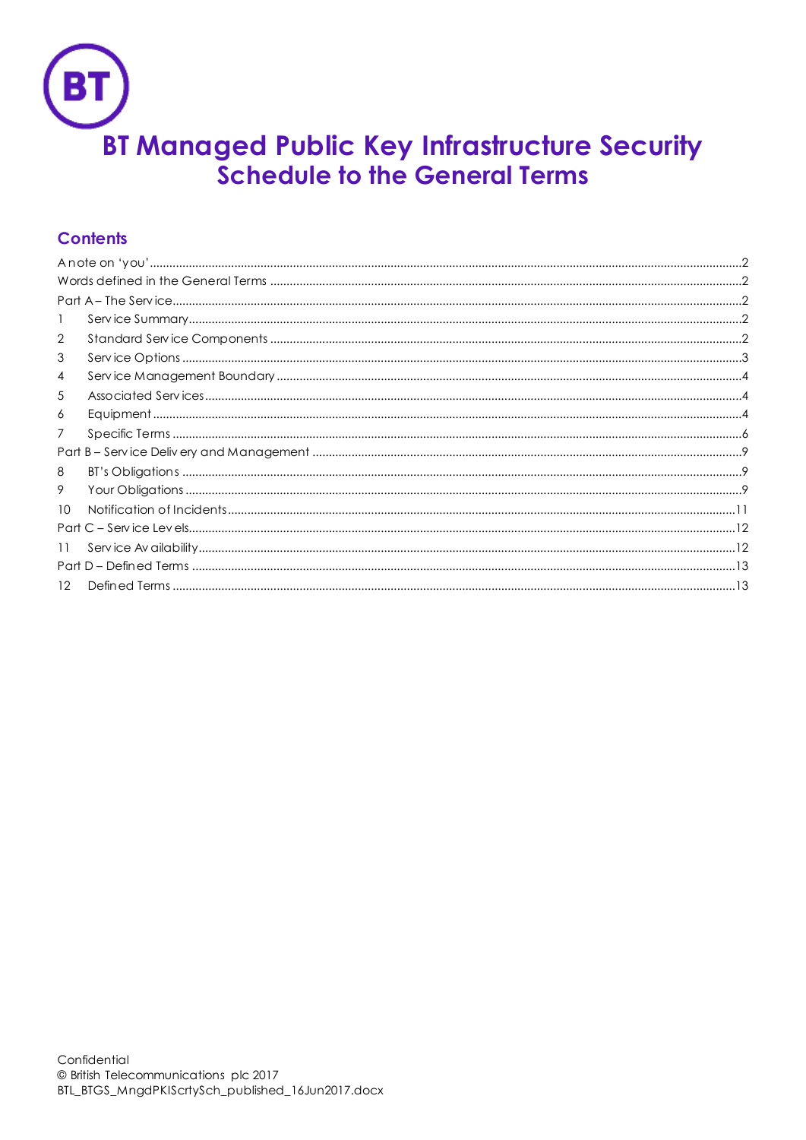

# **Contents**

| 1  |  |  |
|----|--|--|
| 2  |  |  |
| 3  |  |  |
| 4  |  |  |
| 5  |  |  |
| 6  |  |  |
| 7  |  |  |
|    |  |  |
| 8  |  |  |
| 9  |  |  |
| 10 |  |  |
|    |  |  |
| 11 |  |  |
|    |  |  |
| 12 |  |  |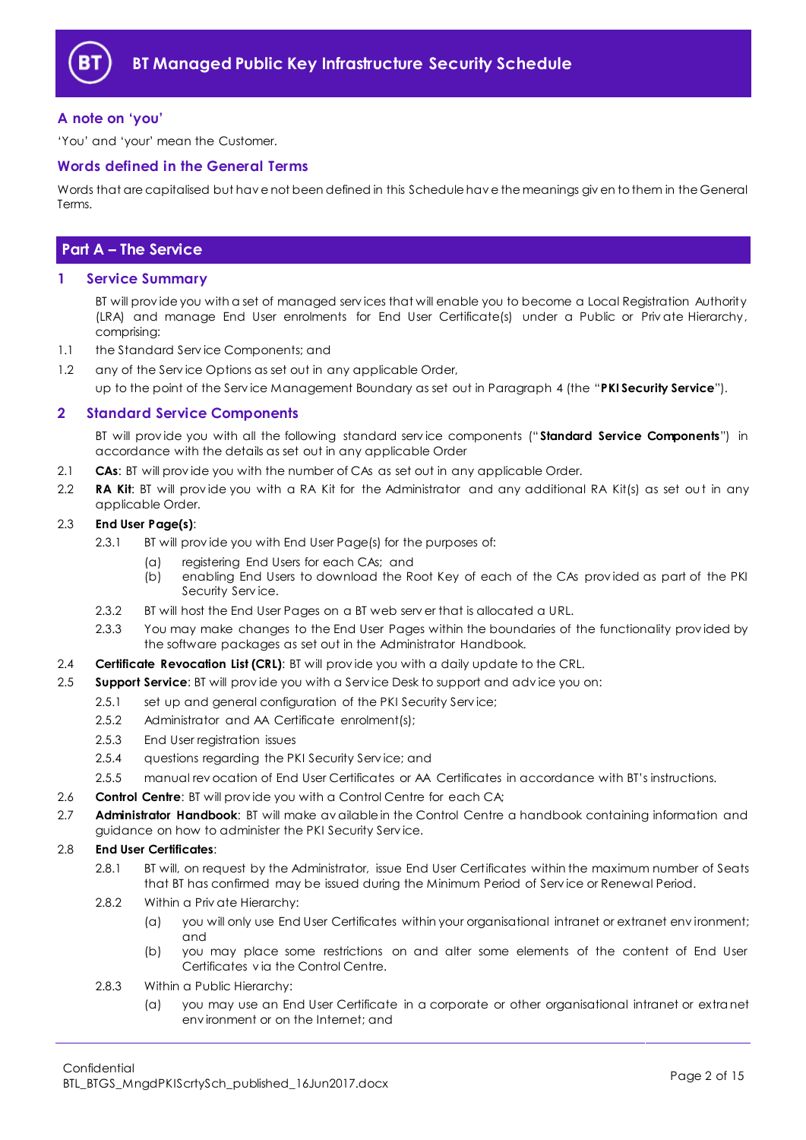

## <span id="page-1-0"></span>**A note on 'you'**

'You' and 'your' mean the Customer.

## <span id="page-1-1"></span>**Words defined in the General Terms**

Words that are capitalised but hav e not been defined in this Schedule hav e the meanings giv en to them in the General Terms.

## <span id="page-1-2"></span>**Part A – The Service**

## <span id="page-1-3"></span>**1 Service Summary**

BT will prov ide you with a set of managed serv ices that will enable you to become a Local Registration Authority (LRA) and manage End User enrolments for End User Certificate(s) under a Public or Priv ate Hierarchy, comprising:

1.1 the Standard Serv ice Components; and

1.2 any of the Serv ice Options as set out in any applicable Order, up to the point of the Serv ice Management Boundary as set out in Paragraph [4](#page-3-0) (the "**PKI Security Service**").

## <span id="page-1-4"></span>**2 Standard Service Components**

BT will prov ide you with all the following standard serv ice components (" **Standard Service Components**") in accordance with the details as set out in any applicable Order

- 2.1 **CAs**: BT will prov ide you with the number of CAs as set out in any applicable Order.
- 2.2 **RA Kit**: BT will prov ide you with a RA Kit for the Administrator and any additional RA Kit(s) as set out in any applicable Order.

#### 2.3 **End User Page(s)**:

- 2.3.1 BI will provide you with End User Page(s) for the purposes of:
	- (a) registering End Users for each CAs; and
	- (b) enabling End Users to download the Root Key of each of the CAs prov ided as part of the PKI Security Service.
- 2.3.2 BT will host the End User Pages on a BT web serv er that is allocated a URL.
- 2.3.3 You may make changes to the End User Pages within the boundaries of the functionality prov ided by the software packages as set out in the Administrator Handbook.
- 2.4 **Certificate Revocation List (CRL)**: BT will prov ide you with a daily update to the CRL.
- 2.5 **Support Service**: BT will prov ide you with a Serv ice Desk to support and adv ice you on:
	- 2.5.1 set up and general configuration of the PKI Security Service;
	- 2.5.2 Administrator and AA Certificate enrolment(s);
	- 2.5.3 End User registration issues
	- 2.5.4 questions regarding the PKI Security Serv ice; and
	- 2.5.5 manual rev ocation of End User Certificates or AA Certificates in accordance with BT's instructions.
- 2.6 **Control Centre**: BT will prov ide you with a Control Centre for each CA;
- <span id="page-1-5"></span>2.7 **Administrator Handbook**: BT will make av ailable in the Control Centre a handbook containing information and guidance on how to administer the PKI Security Serv ice.

## 2.8 **End User Certificates**:

- 2.8.1 BT will, on request by the Administrator, issue End User Certificates within the maximum number of Seats that BT has confirmed may be issued during the Minimum Period of Serv ice or Renewal Period.
- 2.8.2 Within a Priv ate Hierarchy:
	- (a) you will only use End User Certificates within your organisational intranet or extranet env ironment; and
	- (b) you may place some restrictions on and alter some elements of the content of End User Certificates v ia the Control Centre.
- 2.8.3 Within a Public Hierarchy:
	- (a) you may use an End User Certificate in a corporate or other organisational intranet or extranet env ironment or on the Internet; and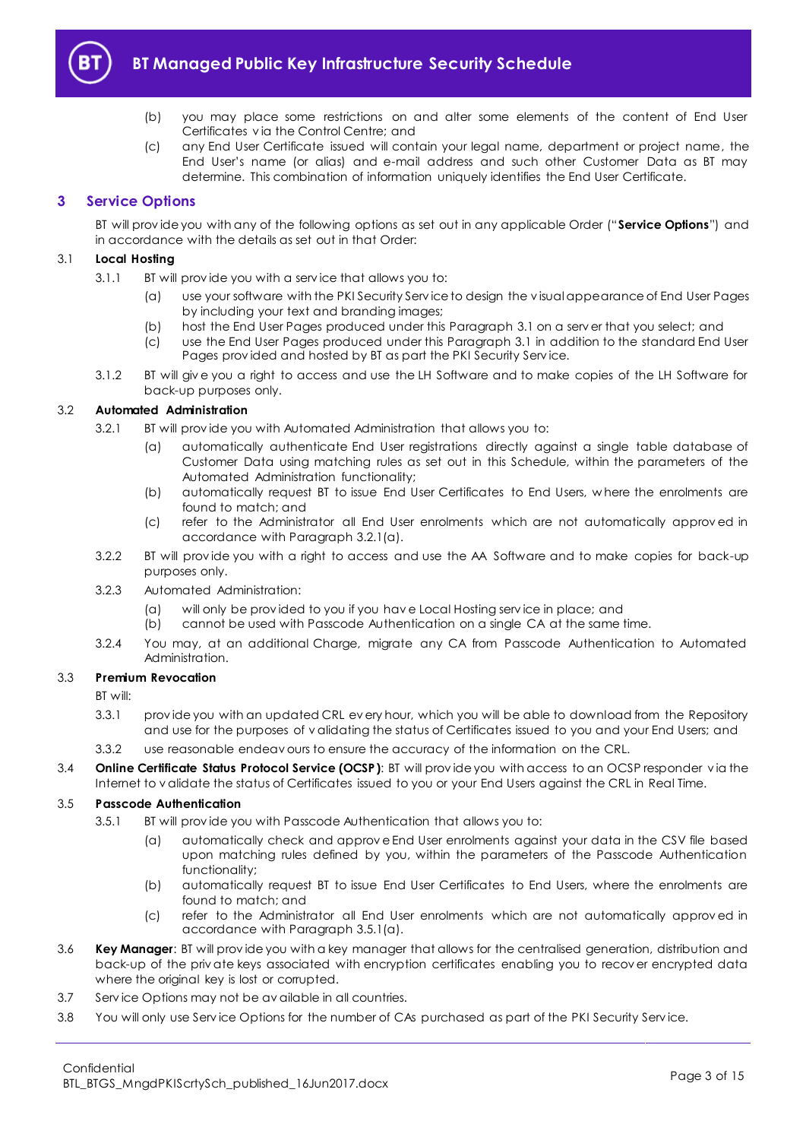

- (b) you may place some restrictions on and alter some elements of the content of End User Certificates v ia the Control Centre; and
- (c) any End User Certificate issued will contain your legal name, department or project name, the End User's name (or alias) and e-mail address and such other Customer Data as BT may determine. This combination of information uniquely identifies the End User Certificate.

## <span id="page-2-0"></span>**3 Service Options**

BT will prov ide you with any of the following options as set out in any applicable Order ("**Service Options**") and in accordance with the details as set out in that Order:

## <span id="page-2-1"></span>3.1 **Local Hosting**

- 3.1.1 BT will prov ide you with a serv ice that allows you to:
	- (a) use your software with the PKI Security Serv ice to design the v isual appearance of End User Pages by including your text and branding images;
	- (b) host the End User Pages produced under this Paragraph [3.1](#page-2-1) on a serv er that you select; and
	- (c) use the End User Pages produced under this Paragraph [3.1](#page-2-1) in addition to the standard End User Pages prov ided and hosted by BT as part the PKI Security Serv ice.
- 3.1.2 BT will giv e you a right to access and use the LH Software and to make copies of the LH Software for back-up purposes only.

## <span id="page-2-2"></span>3.2 **Automated Administration**

- 3.2.1 BT will prov ide you with Automated Administration that allows you to:
	- (a) automatically authenticate End User registrations directly against a single table database of Customer Data using matching rules as set out in this Schedule, within the parameters of the Automated Administration functionality;
	- (b) automatically request BT to issue End User Certificates to End Users, w here the enrolments are found to match; and
	- (c) refer to the Administrator all End User enrolments which are not automatically approv ed in accordance with Paragrap[h 3.2.1\(a\).](#page-2-2)
- 3.2.2 BT will prov ide you with a right to access and use the AA Software and to make copies for back-up purposes only.
- 3.2.3 Automated Administration:
	- (a) will only be prov ided to you if you hav e Local Hosting serv ice in place; and
	- (b) cannot be used with Passcode Authentication on a single CA at the same time.
- 3.2.4 You may, at an additional Charge, migrate any CA from Passcode Authentication to Automated Administration.

### 3.3 **Premium Revocation**

BT will:

- 3.3.1 prov ide you with an updated CRL ev ery hour, which you will be able to download from the Repository and use for the purposes of v alidating the status of Certificates issued to you and your End Users; and
- 3.3.2 use reasonable endeav ours to ensure the accuracy of the information on the CRL.
- 3.4 **Online Certificate Status Protocol Service (OCSP)**: BT will prov ide you with access to an OCSP responder v ia the Internet to v alidate the status of Certificates issued to you or your End Users against the CRL in Real Time.

#### <span id="page-2-3"></span>3.5 **Passcode Authentication**

- 3.5.1 BT will prov ide you with Passcode Authentication that allows you to:
	- (a) automatically check and approv e End User enrolments against your data in the CSV file based upon matching rules defined by you, within the parameters of the Passcode Authentication functionality;
	- (b) automatically request BT to issue End User Certificates to End Users, where the enrolments are found to match; and
	- (c) refer to the Administrator all End User enrolments which are not automatically approv ed in accordance with Paragrap[h 3.5.1\(a\).](#page-2-3)
- 3.6 **Key Manager**: BT will prov ide you with a key manager that allows for the centralised generation, distribution and back-up of the priv ate keys associated with encryption certificates enabling you to recov er encrypted data where the original key is lost or corrupted.
- 3.7 Serv ice Options may not be av ailable in all countries.
- 3.8 You will only use Serv ice Options for the number of CAs purchased as part of the PKI Security Serv ice.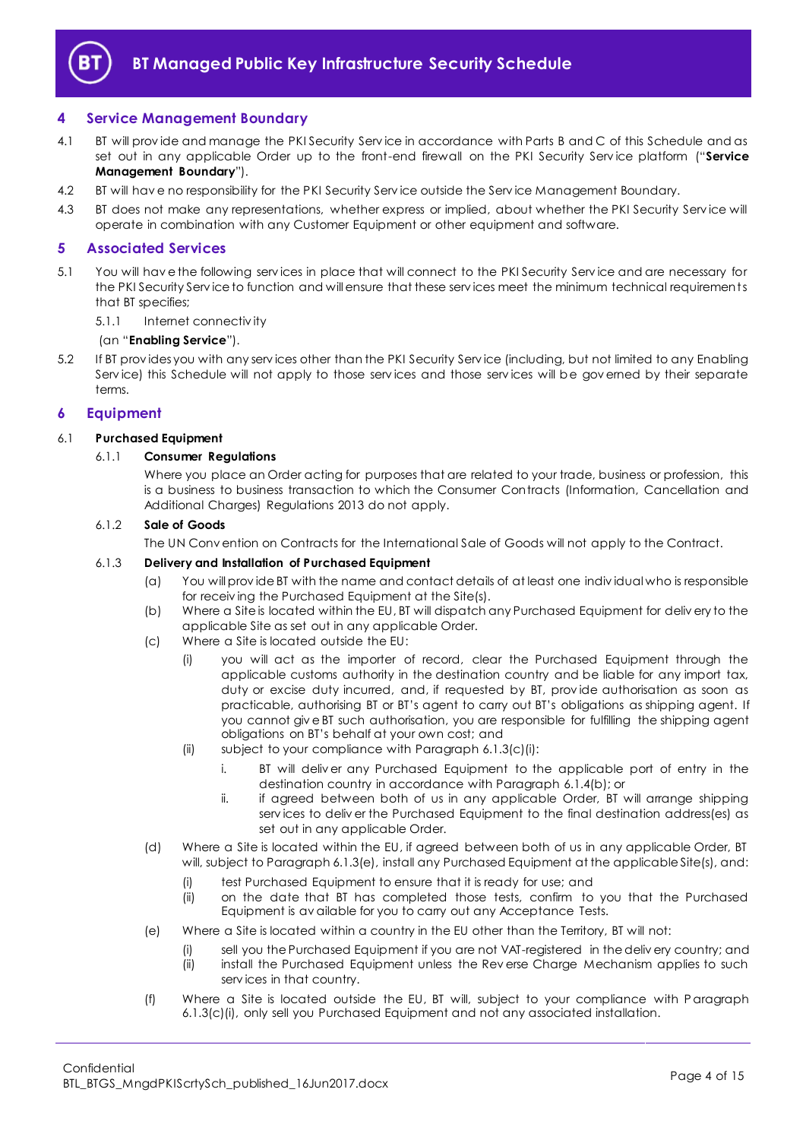

## <span id="page-3-0"></span>**4 Service Management Boundary**

- <span id="page-3-6"></span>4.1 BT will prov ide and manage the PKI Security Serv ice in accordance with Parts B and C of this Schedule and as set out in any applicable Order up to the front-end firewall on the PKI Security Serv ice platform ("**Service Management Boundary**").
- 4.2 BT will hav e no responsibility for the PKI Security Serv ice outside the Serv ice Management Boundary.
- 4.3 BT does not make any representations, whether express or implied, about whether the PKI Security Serv ice will operate in combination with any Customer Equipment or other equipment and software.

## <span id="page-3-1"></span>**5 Associated Services**

- <span id="page-3-5"></span>5.1 You will hav e the following serv ices in place that will connect to the PKI Security Serv ice and are necessary for the PKI Security Serv ice to function and will ensure that these serv ices meet the minimum technical requirements that BT specifies;
	- 5.1.1 Internet connectiv ity

#### (an "**Enabling Service**").

5.2 If BT prov ides you with any serv ices other than the PKI Security Serv ice (including, but not limited to any Enabling Service) this Schedule will not apply to those services and those services will be governed by their separate terms.

## <span id="page-3-2"></span>**6 Equipment**

## 6.1 **Purchased Equipment**

#### 6.1.1 **Consumer Regulations**

Where you place an Order acting for purposes that are related to your trade, business or profession, this is a business to business transaction to which the Consumer Contracts (Information, Cancellation and Additional Charges) Regulations 2013 do not apply.

#### 6.1.2 **Sale of Goods**

The UN Conv ention on Contracts for the International Sale of Goods will not apply to the Contract.

#### 6.1.3 **Delivery and Installation of Purchased Equipment**

- (a) You will prov ide BT with the name and contact details of at least one indiv idual who is responsible for receiv ing the Purchased Equipment at the Site(s).
- (b) Where a Site is located within the EU, BT will dispatch any Purchased Equipment for deliv ery to the applicable Site as set out in any applicable Order.
- <span id="page-3-3"></span>(c) Where a Site is located outside the EU:
	- (i) you will act as the importer of record, clear the Purchased Equipment through the applicable customs authority in the destination country and be liable for any import tax, duty or excise duty incurred, and, if requested by BT, prov ide authorisation as soon as practicable, authorising BT or BT's agent to carry out BT's obligations as shipping agent. If you cannot giv e BT such authorisation, you are responsible for fulfilling the shipping agent obligations on BT's behalf at your own cost; and
	- (ii) subject to your compliance with Paragrap[h 6.1.3\(c\)\(i\):](#page-3-3)
		- i. BT will deliv er any Purchased Equipment to the applicable port of entry in the destination country in accordance with Paragrap[h 6.1.4\(b\);](#page-4-0) or
		- ii. if agreed between both of us in any applicable Order, BT will arrange shipping serv ices to deliv er the Purchased Equipment to the final destination address(es) as set out in any applicable Order.
- (d) Where a Site is located within the EU, if agreed between both of us in any applicable Order, BT will, subject to Paragraph [6.1.3\(e\),](#page-3-4) install any Purchased Equipment at the applicable Site(s), and:
	- (i) test Purchased Equipment to ensure that it is ready for use; and
	- (ii) on the date that BT has completed those tests, confirm to you that the Purchased Equipment is av ailable for you to carry out any Acceptance Tests.
- <span id="page-3-4"></span>(e) Where a Site is located within a country in the EU other than the Territory, BT will not:
	- (i) sell you the Purchased Equipment if you are not VAT-registered in the deliv ery country; and
	- (ii) install the Purchased Equipment unless the Rev erse Charge Mechanism applies to such serv ices in that country.
- (f) Where a Site is located outside the EU, BT will, subject to your compliance with Paragraph [6.1.3\(c\)\(i\),](#page-3-3) only sell you Purchased Equipment and not any associated installation.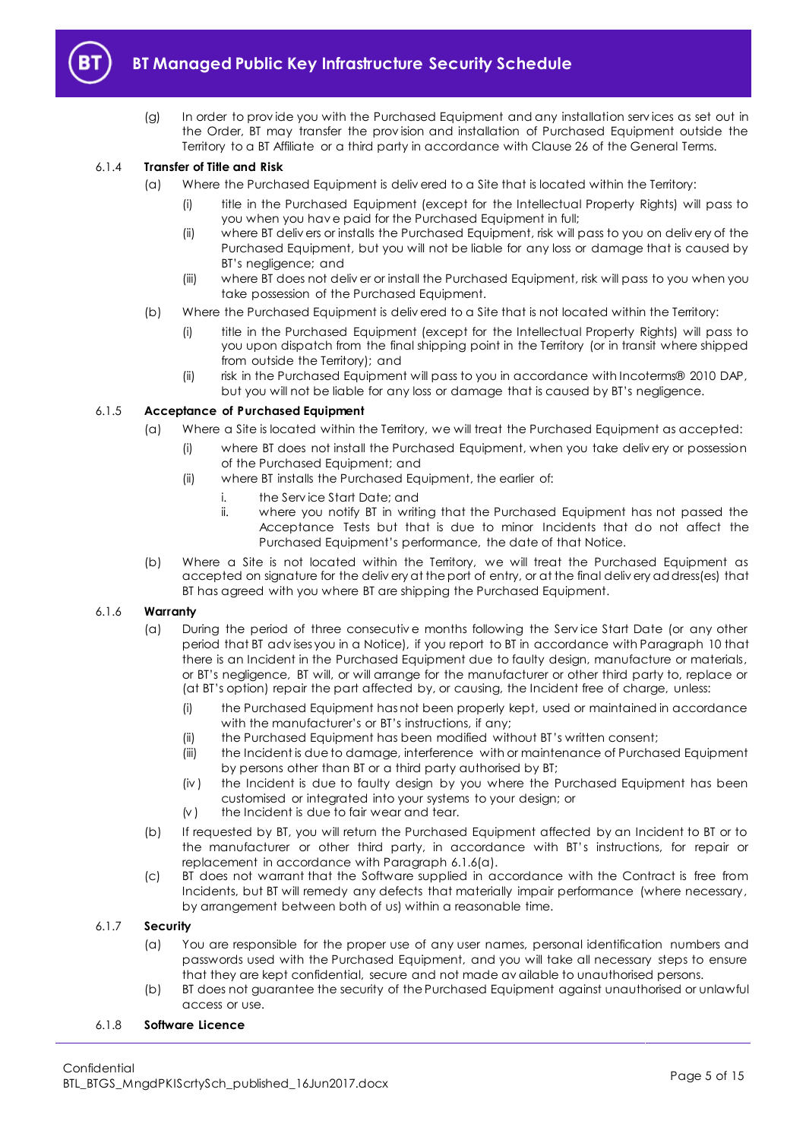

- 
- (g) In order to prov ide you with the Purchased Equipment and any installation serv ices as set out in the Order, BT may transfer the prov ision and installation of Purchased Equipment outside the Territory to a BT Affiliate or a third party in accordance with Clause 26 of the General Terms.

## 6.1.4 **Transfer of Title and Risk**

- (a) Where the Purchased Equipment is deliv ered to a Site that is located within the Territory:
	- (i) title in the Purchased Equipment (except for the Intellectual Property Rights) will pass to you when you hav e paid for the Purchased Equipment in full;
	- (ii) where BT deliv ers or installs the Purchased Equipment, risk will pass to you on deliv ery of the Purchased Equipment, but you will not be liable for any loss or damage that is caused by BT's negligence; and
	- (iii) where BT does not deliv er or install the Purchased Equipment, risk will pass to you when you take possession of the Purchased Equipment.
- <span id="page-4-0"></span>(b) Where the Purchased Equipment is deliv ered to a Site that is not located within the Territory:
	- (i) title in the Purchased Equipment (except for the Intellectual Property Rights) will pass to you upon dispatch from the final shipping point in the Territory (or in transit where shipped from outside the Territory); and
	- (ii) risk in the Purchased Equipment will pass to you in accordance with Incoterms® 2010 DAP, but you will not be liable for any loss or damage that is caused by BT's negligence.

### 6.1.5 **Acceptance of Purchased Equipment**

- (a) Where a Site is located within the Territory, we will treat the Purchased Equipment as accepted:
	- (i) where BT does not install the Purchased Equipment, when you take deliv ery or possession of the Purchased Equipment; and
	- (ii) where BT installs the Purchased Equipment, the earlier of:
		- i. the Serv ice Start Date; and
		- ii. where you notify BT in writing that the Purchased Equipment has not passed the Acceptance Tests but that is due to minor Incidents that do not affect the Purchased Equipment's performance, the date of that Notice.
- (b) Where a Site is not located within the Territory, we will treat the Purchased Equipment as accepted on signature for the deliv ery at the port of entry, or at the final deliv ery address(es) that BT has agreed with you where BT are shipping the Purchased Equipment.

#### <span id="page-4-1"></span>6.1.6 **Warranty**

- (a) During the period of three consecutive months following the Service Start Date (or any other period that BT adv ises you in a Notice), if you report to BT in accordance with Paragraph [10](#page-10-0) that there is an Incident in the Purchased Equipment due to faulty design, manufacture or materials, or BT's negligence, BT will, or will arrange for the manufacturer or other third party to, replace or (at BT's option) repair the part affected by, or causing, the Incident free of charge, unless:
	- (i) the Purchased Equipment has not been properly kept, used or maintained in accordance with the manufacturer's or BT's instructions, if any;
	- (ii) the Purchased Equipment has been modified without BT's written consent;
	- (iii) the Incident is due to damage, interference with or maintenance of Purchased Equipment by persons other than BT or a third party authorised by BT;
	- (iv ) the Incident is due to faulty design by you where the Purchased Equipment has been customised or integrated into your systems to your design; or
	- $(v)$  the Incident is due to fair wear and tear.
- (b) If requested by BT, you will return the Purchased Equipment affected by an Incident to BT or to the manufacturer or other third party, in accordance with BT's instructions, for repair or replacement in accordance with Paragrap[h 6.1.6\(a\).](#page-4-1)
- (c) BT does not warrant that the Software supplied in accordance with the Contract is free from Incidents, but BT will remedy any defects that materially impair performance (where necessary, by arrangement between both of us) within a reasonable time.

## 6.1.7 **Security**

- (a) You are responsible for the proper use of any user names, personal identification numbers and passwords used with the Purchased Equipment, and you will take all necessary steps to ensure that they are kept confidential, secure and not made av ailable to unauthorised persons.
- (b) BT does not guarantee the security of the Purchased Equipment against unauthorised or unlawful access or use.
- 6.1.8 **Software Licence**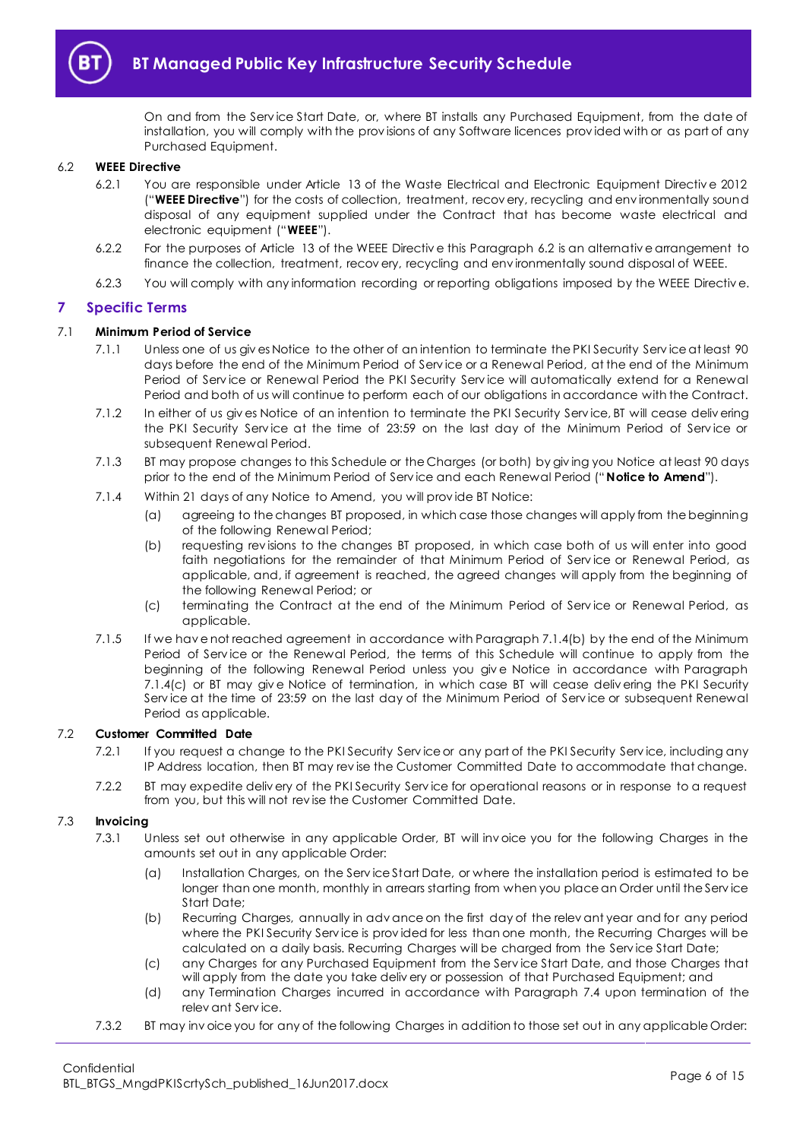

On and from the Serv ice Start Date, or, where BT installs any Purchased Equipment, from the date of installation, you will comply with the prov isions of any Software licences prov ided with or as part of any Purchased Equipment.

#### <span id="page-5-4"></span><span id="page-5-1"></span>6.2 **WEEE Directive**

- 6.2.1 You are responsible under Article 13 of the Waste Electrical and Electronic Equipment Directiv e 2012 ("**WEEE Directive**") for the costs of collection, treatment, recov ery, recycling and env ironmentally sound disposal of any equipment supplied under the Contract that has become waste electrical and electronic equipment ("**WEEE**").
- 6.2.2 For the purposes of Article 13 of the WEEE Directiv e this Paragrap[h 6.2](#page-5-1) is an alternativ e arrangement to finance the collection, treatment, recov ery, recycling and env ironmentally sound disposal of WEEE.
- 6.2.3 You will comply with any information recording or reporting obligations imposed by the WEEE Directiv e.

#### <span id="page-5-0"></span>**7 Specific Terms**

#### 7.1 **Minimum Period of Service**

- 7.1.1 Unless one of us giv es Notice to the other of an intention to terminate the PKI Security Serv ice at least 90 days before the end of the Minimum Period of Serv ice or a Renewal Period, at the end of the Minimum Period of Service or Renewal Period the PKI Security Service will automatically extend for a Renewal Period and both of us will continue to perform each of our obligations in accordance with the Contract.
- 7.1.2 In either of us giv es Notice of an intention to terminate the PKI Security Serv ice, BT will cease deliv ering the PKI Security Service at the time of 23:59 on the last day of the Minimum Period of Service or subsequent Renewal Period.
- 7.1.3 BT may propose changes to this Schedule or the Charges (or both) by giv ing you Notice at least 90 days prior to the end of the Minimum Period of Serv ice and each Renewal Period ("**Notice to Amend**").
- <span id="page-5-2"></span>7.1.4 Within 21 days of any Notice to Amend, you will prov ide BT Notice:
	- (a) agreeing to the changes BT proposed, in which case those changes will apply from the beginning of the following Renewal Period;
	- (b) requesting rev isions to the changes BT proposed, in which case both of us will enter into good faith negotiations for the remainder of that Minimum Period of Service or Renewal Period, as applicable, and, if agreement is reached, the agreed changes will apply from the beginning of the following Renewal Period; or
	- (c) terminating the Contract at the end of the Minimum Period of Serv ice or Renewal Period, as applicable.
- <span id="page-5-3"></span>7.1.5 If we hav e not reached agreement in accordance with Paragrap[h 7.1.4\(b\)](#page-5-2) by the end of the Minimum Period of Serv ice or the Renewal Period, the terms of this Schedule will continue to apply from the beginning of the following Renewal Period unless you giv e Notice in accordance with Paragraph [7.1.4\(c\)](#page-5-3) or BT may giv e Notice of termination, in which case BT will cease deliv ering the PKI Security Serv ice at the time of 23:59 on the last day of the Minimum Period of Serv ice or subsequent Renewal Period as applicable.

## 7.2 **Customer Committed Date**

- 7.2.1 If you request a change to the PKI Security Serv ice or any part of the PKI Security Serv ice, including any IP Address location, then BT may rev ise the Customer Committed Date to accommodate that change.
- 7.2.2 BT may expedite deliv ery of the PKI Security Serv ice for operational reasons or in response to a request from you, but this will not rev ise the Customer Committed Date.

#### 7.3 **Invoicing**

- 7.3.1 Unless set out otherwise in any applicable Order, BT will inv oice you for the following Charges in the amounts set out in any applicable Order:
	- (a) Installation Charges, on the Serv ice Start Date, or where the installation period is estimated to be longer than one month, monthly in arrears starting from when you place an Order until the Service Start Date;
	- (b) Recurring Charges, annually in adv ance on the first day of the relev ant year and for any period where the PKI Security Service is provided for less than one month, the Recurring Charges will be calculated on a daily basis. Recurring Charges will be charged from the Serv ice Start Date;
	- (c) any Charges for any Purchased Equipment from the Serv ice Start Date, and those Charges that will apply from the date you take deliv ery or possession of that Purchased Equipment; and
	- (d) any Termination Charges incurred in accordance with Paragraph [7.4](#page-6-0) upon termination of the relev ant Serv ice.
- 7.3.2 BT may inv oice you for any of the following Charges in addition to those set out in any applicable Order: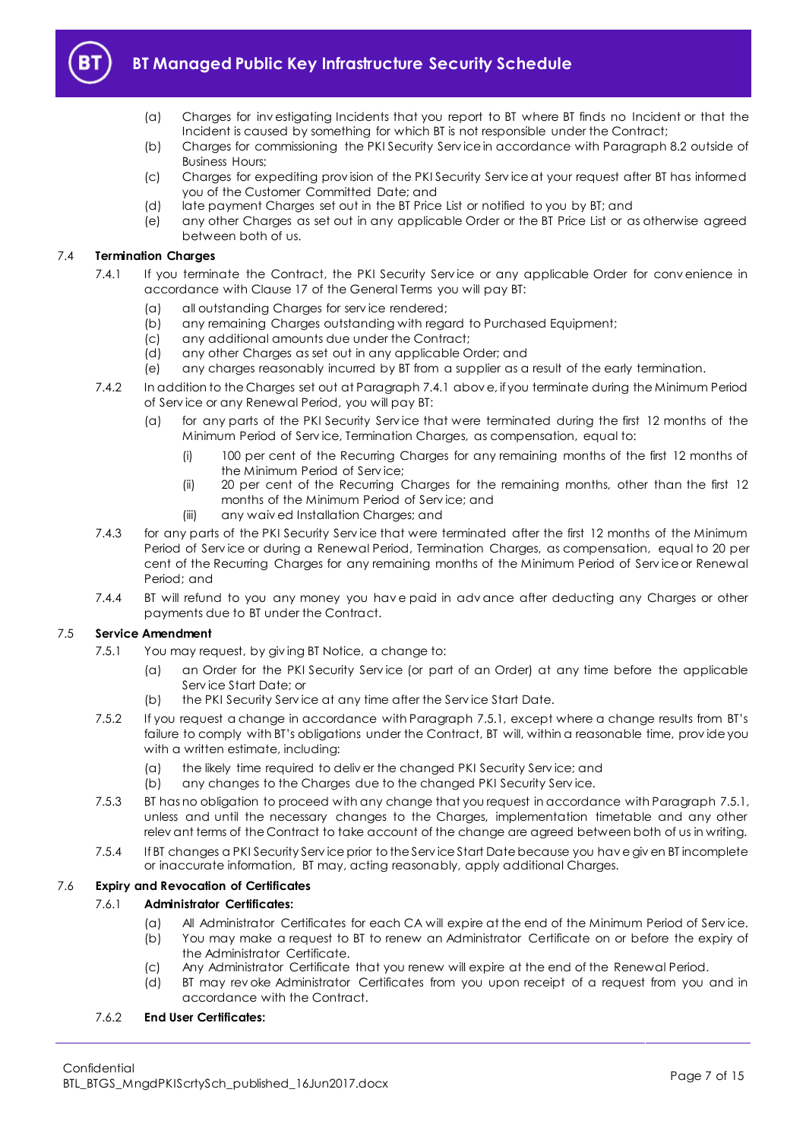

- (a) Charges for inv estigating Incidents that you report to BT where BT finds no Incident or that the Incident is caused by something for which BT is not responsible under the Contract;
- (b) Charges for commissioning the PKI Security Serv ice in accordance with Paragraph [8.2](#page-8-3) outside of Business Hours;
- (c) Charges for expediting prov ision of the PKI Security Serv ice at your request after BT has informed you of the Customer Committed Date; and
- (d) late payment Charges set out in the BT Price List or notified to you by BT; and
- (e) any other Charges as set out in any applicable Order or the BT Price List or as otherwise agreed between both of us.

#### <span id="page-6-1"></span><span id="page-6-0"></span>7.4 **Termination Charges**

- 7.4.1 If you terminate the Contract, the PKI Security Service or any applicable Order for convenience in accordance with Clause 17 of the General Terms you will pay BT:
	- (a) all outstanding Charges for serv ice rendered;
	- (b) any remaining Charges outstanding with regard to Purchased Equipment;
	- (c) any additional amounts due under the Contract;
	- (d) any other Charges as set out in any applicable Order; and
	- (e) any charges reasonably incurred by BT from a supplier as a result of the early termination.
- 7.4.2 In addition to the Charges set out at Paragrap[h 7.4.1](#page-6-1) abov e, if you terminate during the Minimum Period of Serv ice or any Renewal Period, you will pay BT:
	- (a) for any parts of the PKI Security Serv ice that were terminated during the first 12 months of the Minimum Period of Serv ice, Termination Charges, as compensation, equal to:
		- (i) 100 per cent of the Recurring Charges for any remaining months of the first 12 months of the Minimum Period of Serv ice;
		- (ii) 20 per cent of the Recurring Charges for the remaining months, other than the first 12 months of the Minimum Period of Serv ice; and
		- (iii) any waiv ed Installation Charges; and
- 7.4.3 for any parts of the PKI Security Serv ice that were terminated after the first 12 months of the Minimum Period of Serv ice or during a Renewal Period, Termination Charges, as compensation, equal to 20 per cent of the Recurring Charges for any remaining months of the Minimum Period of Service or Renewal Period; and
- 7.4.4 BT will refund to you any money you have paid in advance after deducting any Charges or other payments due to BT under the Contract.

#### <span id="page-6-2"></span>7.5 **Service Amendment**

- 7.5.1 You may request, by giv ing BT Notice, a change to:
	- (a) an Order for the PKI Security Serv ice (or part of an Order) at any time before the applicable Serv ice Start Date; or
	- (b) the PKI Security Serv ice at any time after the Serv ice Start Date.
- 7.5.2 If you request a change in accordance with Paragrap[h 7.5.1](#page-6-2), except where a change results from BT's failure to comply with BT's obligations under the Contract, BT will, within a reasonable time, prov ide you with a written estimate, including:
	- (a) the likely time required to deliv er the changed PKI Security Serv ice; and
	- (b) any changes to the Charges due to the changed PKI Security Serv ice.
- 7.5.3 BT has no obligation to proceed with any change that you request in accordance with Paragrap[h 7.5.1,](#page-6-2) unless and until the necessary changes to the Charges, implementation timetable and any other relev ant terms of the Contract to take account of the change are agreed between both of us in writing.
- 7.5.4 If BT changes a PKI Security Serv ice prior to the Serv ice Start Date because you hav e giv en BT incomplete or inaccurate information, BT may, acting reasonably, apply additional Charges.

### 7.6 **Expiry and Revocation of Certificates**

#### 7.6.1 **Administrator Certificates:**

- (a) All Administrator Certificates for each CA will expire at the end of the Minimum Period of Serv ice.
- (b) You may make a request to BT to renew an Administrator Certificate on or before the expiry of the Administrator Certificate.
- (c) Any Administrator Certificate that you renew will expire at the end of the Renewal Period.
- (d) BT may rev oke Administrator Certificates from you upon receipt of a request from you and in accordance with the Contract.

#### 7.6.2 **End User Certificates:**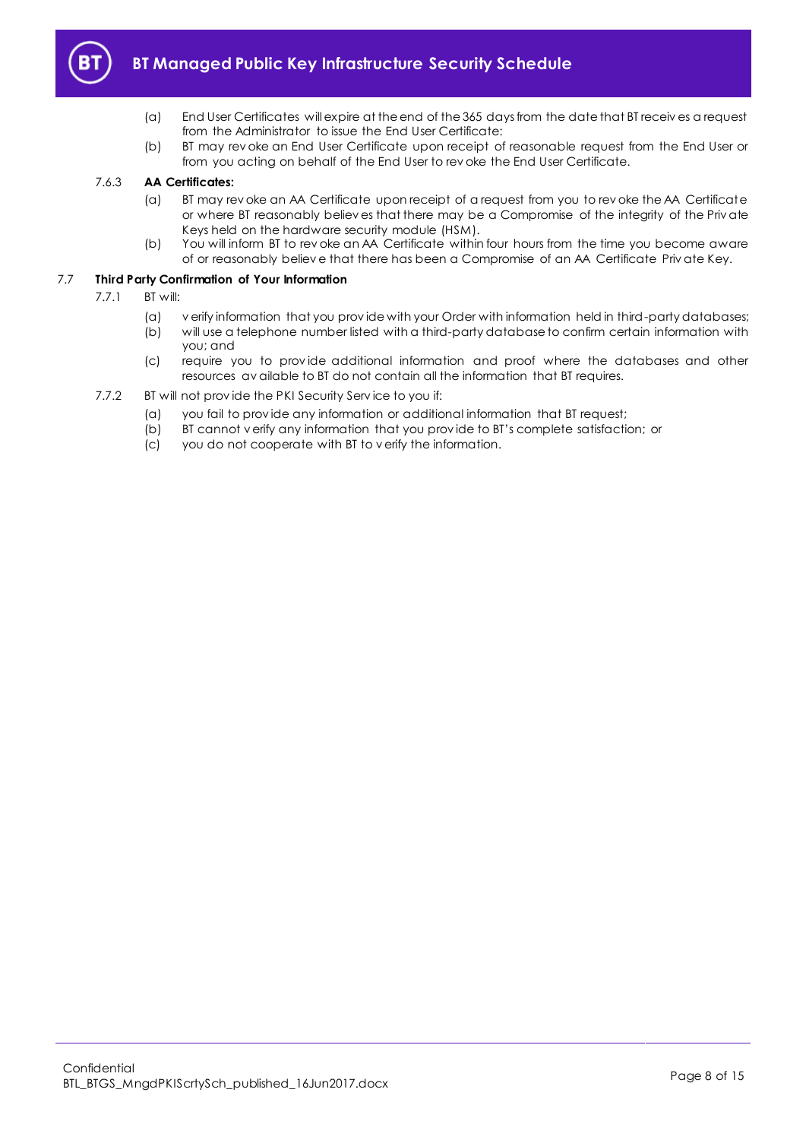

- (a) End User Certificates will expire at the end of the 365 days from the date that BT receiv es a request from the Administrator to issue the End User Certificate:
- (b) BT may rev oke an End User Certificate upon receipt of reasonable request from the End User or from you acting on behalf of the End User to rev oke the End User Certificate.

#### 7.6.3 **AA Certificates:**

- (a) BT may rev oke an AA Certificate upon receipt of a request from you to rev oke the AA Certificate or where BT reasonably believ es that there may be a Compromise of the integrity of the Priv ate Keys held on the hardware security module (HSM).
- (b) You will inform BT to rev oke an AA Certificate within four hours from the time you become aware of or reasonably believ e that there has been a Compromise of an AA Certificate Priv ate Key.

#### 7.7 **Third Party Confirmation of Your Information**

- 7.7.1 BT will:
	- (a) v erify information that you prov ide with your Order with information held in third-party databases;
	- (b) will use a telephone number listed with a third-party database to confirm certain information with you; and
	- (c) require you to prov ide additional information and proof where the databases and other resources av ailable to BT do not contain all the information that BT requires.
- 7.7.2 BT will not provide the PKI Security Service to you if:
	- (a) you fail to prov ide any information or additional information that BT request;
	- (b) BT cannot v erify any information that you prov ide to BT's complete satisfaction; or
	- (c) you do not cooperate with BT to v erify the information.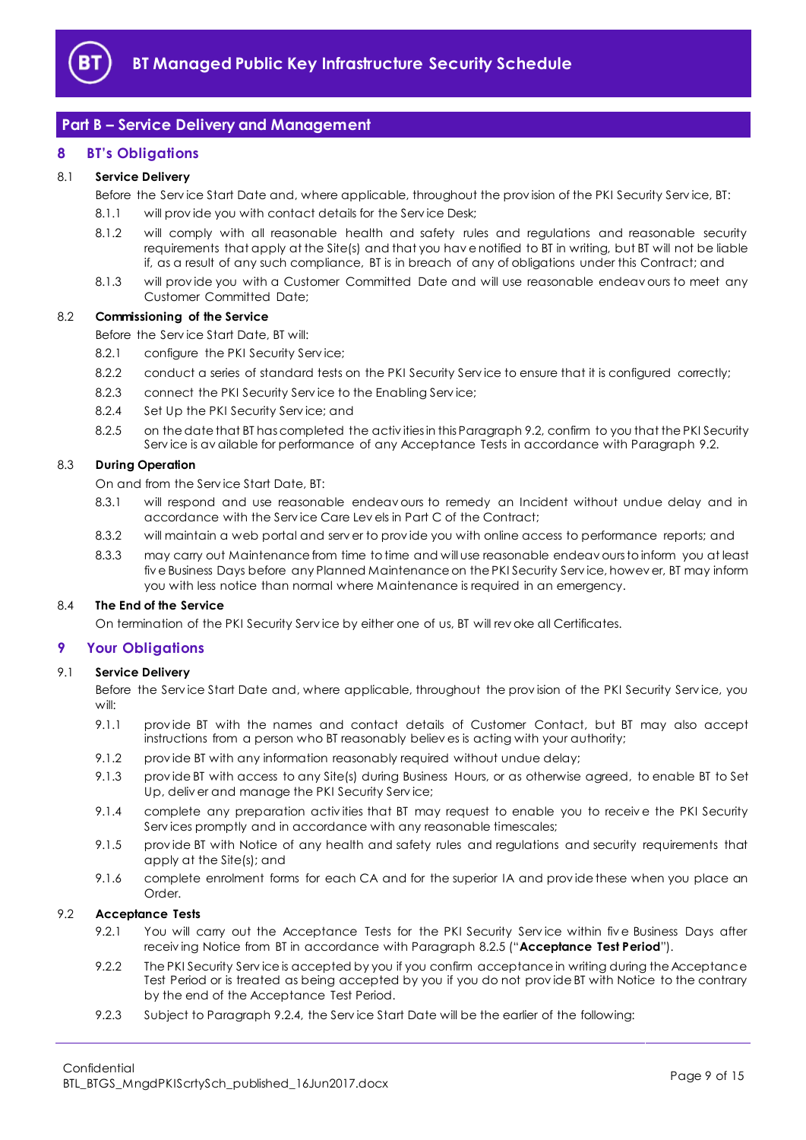

## <span id="page-8-0"></span>**Part B – Service Delivery and Management**

## <span id="page-8-1"></span>**8 BT's Obligations**

#### 8.1 **Service Delivery**

Before the Serv ice Start Date and, where applicable, throughout the prov ision of the PKI Security Serv ice, BT:

- 8.1.1 will provide you with contact details for the Service Desk;
- 8.1.2 will comply with all reasonable health and safety rules and regulations and reasonable security requirements that apply at the Site(s) and that you hav e notified to BT in writing, but BT will not be liable if, as a result of any such compliance, BT is in breach of any of obligations under this Contract; and
- 8.1.3 will prov ide you with a Customer Committed Date and will use reasonable endeav ours to meet any Customer Committed Date;

#### <span id="page-8-3"></span>8.2 **Commissioning of the Service**

Before the Serv ice Start Date, BT will:

- 8.2.1 configure the PKI Security Service:
- 8.2.2 conduct a series of standard tests on the PKI Security Service to ensure that it is configured correctly;
- 8.2.3 connect the PKI Security Service to the Enabling Service;
- 8.2.4 Set Up the PKI Security Service: and
- 8.2.5 on the date that BT has completed the activ ities in this Paragrap[h 9.2,](#page-8-4) confirm to you that the PKI Security Serv ice is av ailable for performance of any Acceptance Tests in accordance with Paragraph [9.2.](#page-8-4)

#### <span id="page-8-8"></span><span id="page-8-5"></span>8.3 **During Operation**

On and from the Serv ice Start Date, BT:

- 8.3.1 will respond and use reasonable endeav ours to remedy an Incident without undue delay and in accordance with the Serv ice Care Lev els in Part C of the Contract;
- 8.3.2 will maintain a web portal and serv er to prov ide you with online access to performance reports; and
- 8.3.3 may carry out Maintenance from time to time and will use reasonable endeav ours to inform you at least fiv e Business Days before any Planned Maintenance on the PKI Security Serv ice, howev er, BT may inform you with less notice than normal where Maintenance is required in an emergency.

#### 8.4 **The End of the Service**

On termination of the PKI Security Serv ice by either one of us, BT will rev oke all Certificates.

#### <span id="page-8-2"></span>**9 Your Obligations**

#### 9.1 **Service Delivery**

Before the Serv ice Start Date and, where applicable, throughout the prov ision of the PKI Security Serv ice, you will:

- 9.1.1 prov ide BT with the names and contact details of Customer Contact, but BT may also accept instructions from a person who BT reasonably believ es is acting with your authority;
- 9.1.2 prov ide BT with any information reasonably required without undue delay;
- 9.1.3 prov ide BT with access to any Site(s) during Business Hours, or as otherwise agreed, to enable BT to Set Up, deliv er and manage the PKI Security Serv ice;
- 9.1.4 complete any preparation activities that BT may request to enable you to receive the PKI Security Serv ices promptly and in accordance with any reasonable timescales;
- 9.1.5 prov ide BT with Notice of any health and safety rules and regulations and security requirements that apply at the Site(s); and
- 9.1.6 complete enrolment forms for each CA and for the superior IA and prov ide these when you place an Order.

### <span id="page-8-7"></span><span id="page-8-4"></span>9.2 **Acceptance Tests**

- 9.2.1 You will carry out the Acceptance Tests for the PKI Security Service within five Business Days after receiv ing Notice from BT in accordance with Paragrap[h 8.2.5](#page-8-5) ("**Acceptance Test Period**").
- <span id="page-8-6"></span>9.2.2 The PKI Security Serv ice is accepted by you if you confirm acceptance in writing during the Acceptance Test Period or is treated as being accepted by you if you do not prov ide BT with Notice to the contrary by the end of the Acceptance Test Period.
- 9.2.3 Subject to Paragraph [9.2.4,](#page-9-0) the Serv ice Start Date will be the earlier of the following: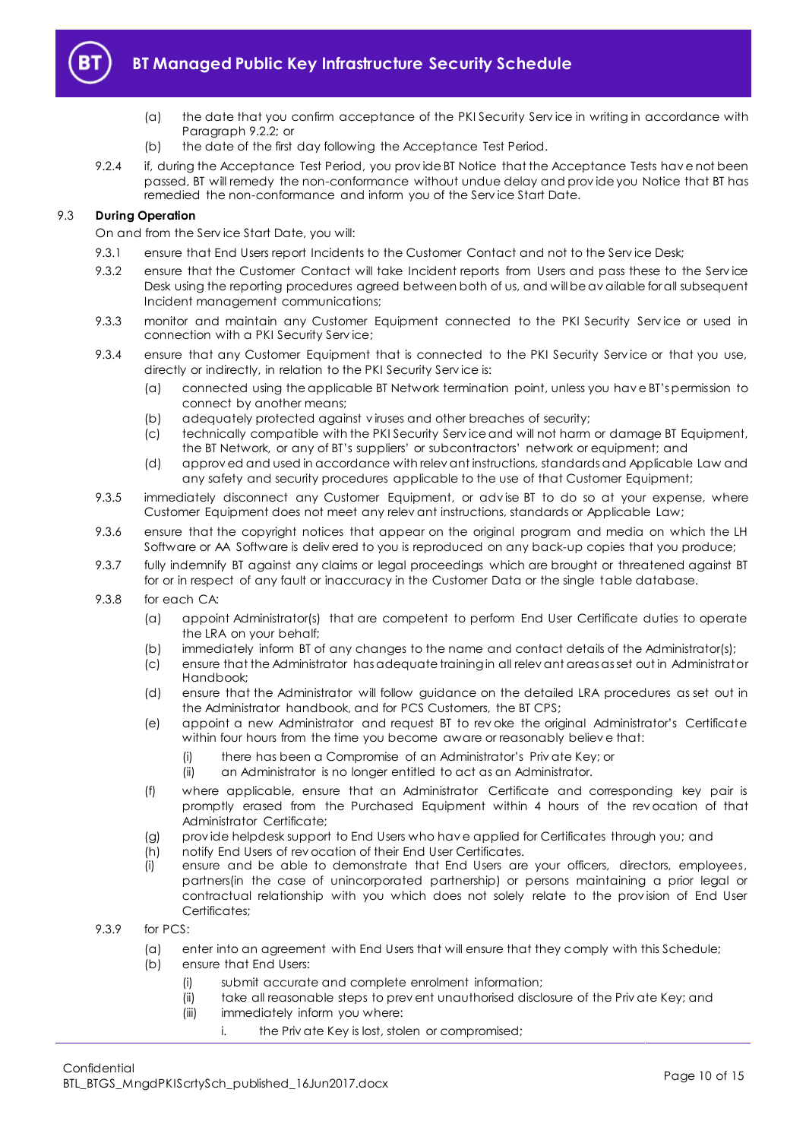

- (a) the date that you confirm acceptance of the PKI Security Serv ice in writing in accordance with Paragraph [9.2.2;](#page-8-6) or
- (b) the date of the first day following the Acceptance Test Period.
- <span id="page-9-0"></span>9.2.4 if, during the Acceptance Test Period, you prov ide BT Notice that the Acceptance Tests hav e not been passed, BT will remedy the non-conformance without undue delay and prov ide you Notice that BT has remedied the non-conformance and inform you of the Serv ice Start Date.

## 9.3 **During Operation**

On and from the Serv ice Start Date, you will:

- 9.3.1 ensure that End Users report Incidents to the Customer Contact and not to the Service Desk;
- 9.3.2 ensure that the Customer Contact will take Incident reports from Users and pass these to the Serv ice Desk using the reporting procedures agreed between both of us, and will be av ailable for all subsequent Incident management communications;
- 9.3.3 monitor and maintain any Customer Equipment connected to the PKI Security Service or used in connection with a PKI Security Serv ice;
- 9.3.4 ensure that any Customer Equipment that is connected to the PKI Security Service or that you use, directly or indirectly, in relation to the PKI Security Serv ice is:
	- (a) connected using the applicable BT Network termination point, unless you hav e BT's permission to connect by another means;
	- (b) adequately protected against v iruses and other breaches of security;
	- (c) technically compatible with the PKI Security Serv ice and will not harm or damage BT Equipment, the BT Network, or any of BT's suppliers' or subcontractors' network or equipment; and
	- (d) approv ed and used in accordance with relev ant instructions, standards and Applicable Law and any safety and security procedures applicable to the use of that Customer Equipment;
- 9.3.5 immediately disconnect any Customer Equipment, or adv ise BT to do so at your expense, where Customer Equipment does not meet any relev ant instructions, standards or Applicable Law;
- 9.3.6 ensure that the copyright notices that appear on the original program and media on which the LH Software or AA Software is deliv ered to you is reproduced on any back-up copies that you produce;
- 9.3.7 fully indemnify BT against any claims or legal proceedings which are brought or threatened against BT for or in respect of any fault or inaccuracy in the Customer Data or the single table database.
- 9.3.8 for each CA:
	- (a) appoint Administrator(s) that are competent to perform End User Certificate duties to operate the LRA on your behalf;
	- (b) immediately inform BT of any changes to the name and contact details of the Administrator(s);
	- (c) ensure that the Administrator has adequate training in all relev ant areas as set out in Administrator Handbook;
	- (d) ensure that the Administrator will follow guidance on the detailed LRA procedures as set out in the Administrator handbook, and for PCS Customers, the BT CPS;
	- (e) appoint a new Administrator and request BT to rev oke the original Administrator's Certificate within four hours from the time you become aware or reasonably believ e that:
		- (i) there has been a Compromise of an Administrator's Priv ate Key; or
		- (ii) an Administrator is no longer entitled to act as an Administrator.
	- (f) where applicable, ensure that an Administrator Certificate and corresponding key pair is promptly erased from the Purchased Equipment within 4 hours of the rev ocation of that Administrator Certificate;
	- (g) prov ide helpdesk support to End Users who hav e applied for Certificates through you; and
	- (h) notify End Users of rev ocation of their End User Certificates.
	- (i) ensure and be able to demonstrate that End Users are your officers, directors, employees, partners(in the case of unincorporated partnership) or persons maintaining a prior legal or contractual relationship with you which does not solely relate to the prov ision of End User Certificates;
- 9.3.9 for PCS:
	- (a) enter into an agreement with End Users that will ensure that they comply with this Schedule;
	- (b) ensure that End Users:
		- (i) submit accurate and complete enrolment information;
		- (ii) take all reasonable steps to prev ent unauthorised disclosure of the Priv ate Key; and
		- (iii) immediately inform you where:
			- i. the Priv ate Key is lost, stolen or compromised;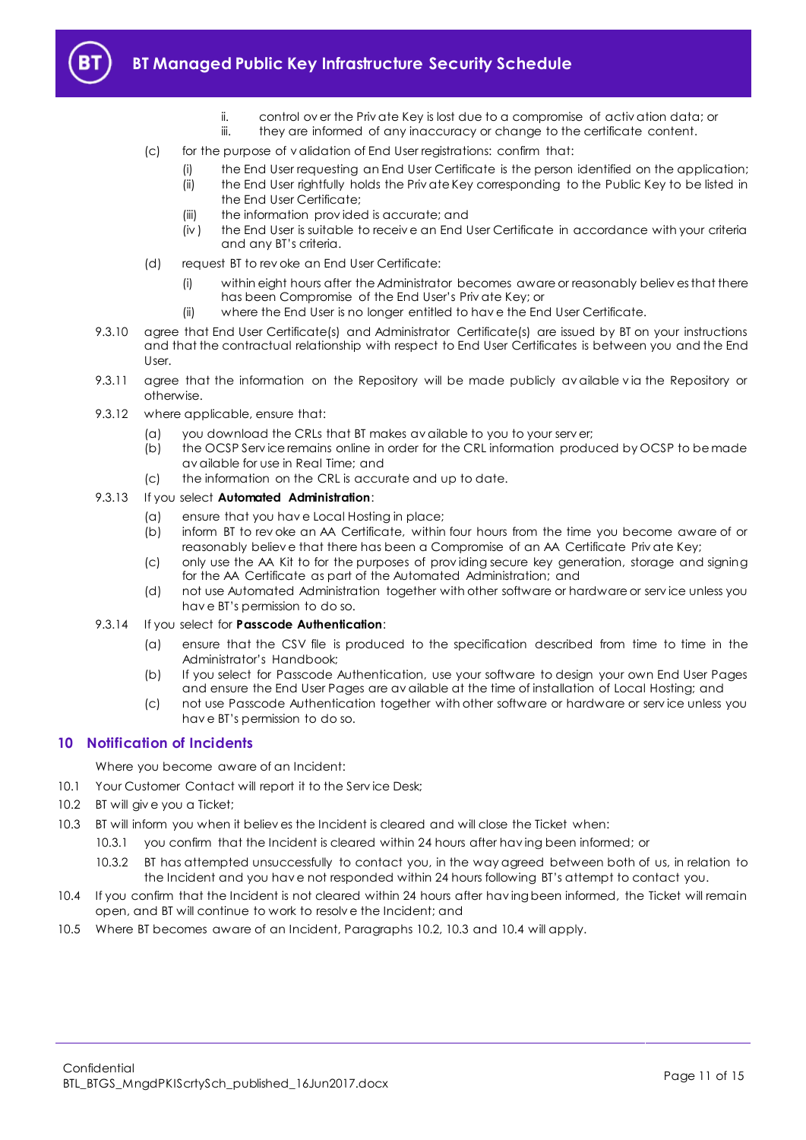

- ii. control ov er the Priv ate Key is lost due to a compromise of activ ation data; or
- iii. they are informed of any inaccuracy or change to the certificate content.
- (c) for the purpose of v alidation of End User registrations: confirm that:
	- (i) the End User requesting an End User Certificate is the person identified on the application;
	- (ii) the End User rightfully holds the Priv ate Key corresponding to the Public Key to be listed in the End User Certificate;
	- (iii) the information prov ided is accurate; and
	- (iv ) the End User is suitable to receiv e an End User Certificate in accordance with your criteria and any BT's criteria.
- (d) request BT to rev oke an End User Certificate:
	- (i) within eight hours after the Administrator becomes aware or reasonably believ es that there has been Compromise of the End User's Priv ate Key; or
	- (ii) where the End User is no longer entitled to hav e the End User Certificate.
- 9.3.10 agree that End User Certificate(s) and Administrator Certificate(s) are issued by BT on your instructions and that the contractual relationship with respect to End User Certificates is between you and the End User.
- 9.3.11 agree that the information on the Repository will be made publicly available via the Repository or otherwise.
- 9.3.12 where applicable, ensure that:
	- (a) you download the CRLs that BT makes av ailable to you to your serv er;
	- (b) the OCSP Serv ice remains online in order for the CRL information produced by OCSP to be made av ailable for use in Real Time; and
	- (c) the information on the CRL is accurate and up to date.

#### 9.3.13 If you select **Automated Administration**:

- (a) ensure that you hav e Local Hosting in place;
- (b) inform BT to rev oke an AA Certificate, within four hours from the time you become aware of or reasonably believ e that there has been a Compromise of an AA Certificate Priv ate Key;
- (c) only use the AA Kit to for the purposes of prov iding secure key generation, storage and signing for the AA Certificate as part of the Automated Administration; and
- (d) not use Automated Administration together with other software or hardware or serv ice unless you hav e BT's permission to do so.
- 9.3.14 If you select for **Passcode Authentication**:
	- (a) ensure that the CSV file is produced to the specification described from time to time in the Administrator's Handbook;
	- (b) If you select for Passcode Authentication, use your software to design your own End User Pages and ensure the End User Pages are av ailable at the time of installation of Local Hosting; and
	- (c) not use Passcode Authentication together with other software or hardware or serv ice unless you hav e BT's permission to do so.

## <span id="page-10-0"></span>**10 Notification of Incidents**

Where you become aware of an Incident:

- 10.1 Your Customer Contact will report it to the Service Desk;
- <span id="page-10-1"></span>10.2 BT will give you a Ticket;
- <span id="page-10-2"></span>10.3 BT will inform you when it believ es the Incident is cleared and will close the Ticket when:
	- 10.3.1 you confirm that the Incident is cleared within 24 hours after hav ing been informed; or
		- 10.3.2 BT has attempted unsuccessfully to contact you, in the way agreed between both of us, in relation to the Incident and you hav e not responded within 24 hours following BT's attempt to contact you.
- <span id="page-10-3"></span>10.4 If you confirm that the Incident is not cleared within 24 hours after hav ing been informed, the Ticket will remain open, and BT will continue to work to resolv e the Incident; and
- 10.5 Where BT becomes aware of an Incident, Paragraphs [10.2,](#page-10-1) [10.3](#page-10-2) and [10.4](#page-10-3) will apply.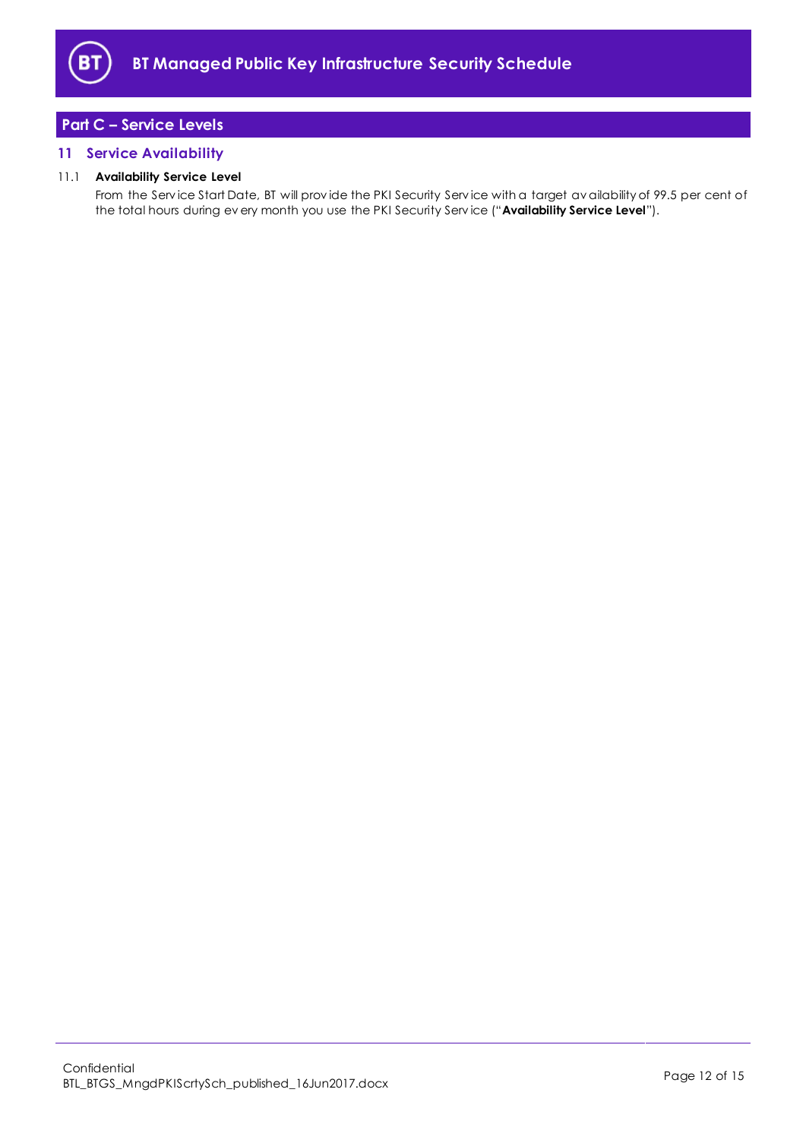

# <span id="page-11-0"></span>**Part C – Service Levels**

## <span id="page-11-1"></span>**11 Service Availability**

## 11.1 **Availability Service Level**

From the Serv ice Start Date, BT will prov ide the PKI Security Serv ice with a target av ailability of 99.5 per cent of the total hours during ev ery month you use the PKI Security Serv ice ("**Availability Service Level**").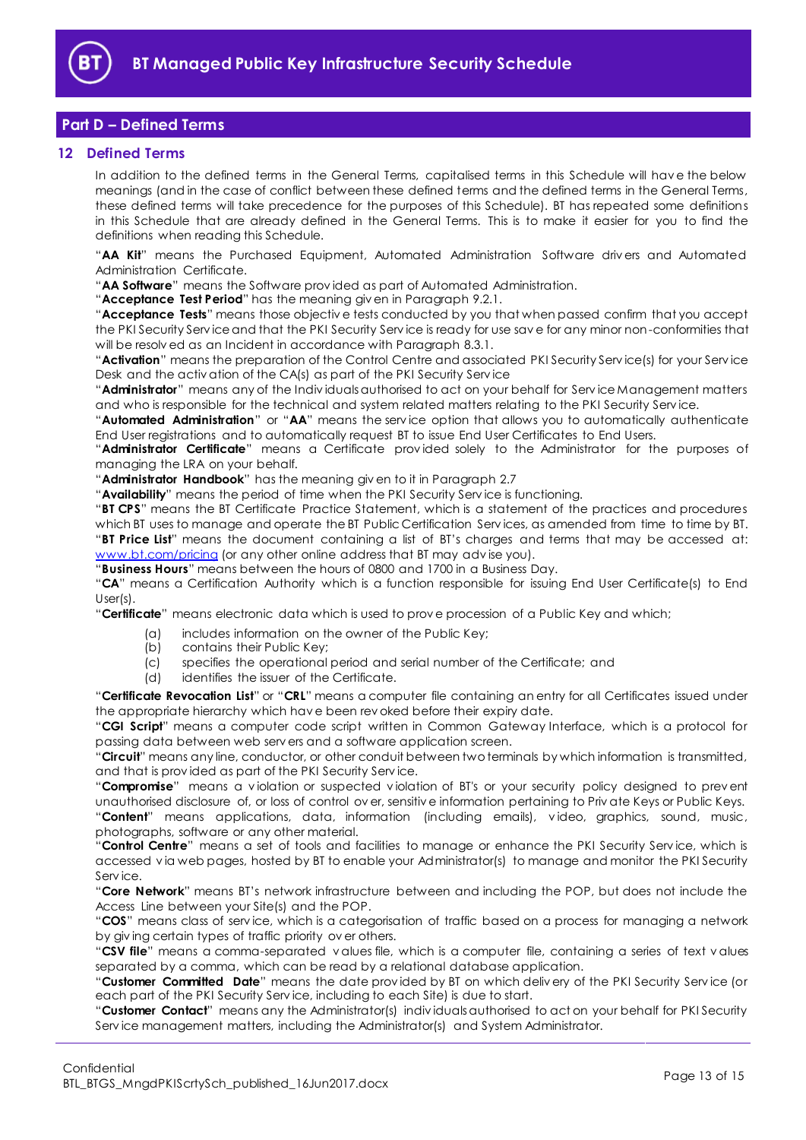

## <span id="page-12-0"></span>**Part D – Defined Terms**

## <span id="page-12-1"></span>**12 Defined Terms**

In addition to the defined terms in the General Terms, capitalised terms in this Schedule will hav e the below meanings (and in the case of conflict between these defined terms and the defined terms in the General Terms, these defined terms will take precedence for the purposes of this Schedule). BT has repeated some definitions in this Schedule that are already defined in the General Terms. This is to make it easier for you to find the definitions when reading this Schedule.

"**AA Kit**" means the Purchased Equipment, Automated Administration Software driv ers and Automated Administration Certificate.

"**AA Software**" means the Software prov ided as part of Automated Administration.

"**Acceptance Test Period**" has the meaning giv en in Paragraph [9.2.1.](#page-8-7)

"**Acceptance Tests**" means those objectiv e tests conducted by you that when passed confirm that you accept the PKI Security Serv ice and that the PKI Security Serv ice is ready for use sav e for any minor non-conformities that will be resolved as an Incident in accordance with Paragraph [8.3.1.](#page-8-8)

"**Activation**" means the preparation of the Control Centre and associated PKI Security Serv ice(s) for your Serv ice Desk and the activ ation of the CA(s) as part of the PKI Security Serv ice

"**Administrator**" means any of the Indiv iduals authorised to act on your behalf for Serv ice Management matters and who is responsible for the technical and system related matters relating to the PKI Security Serv ice.

"**Automated Administration**" or "**AA**" means the serv ice option that allows you to automatically authenticate End User registrations and to automatically request BT to issue End User Certificates to End Users.

"**Administrator Certificate**" means a Certificate prov ided solely to the Administrator for the purposes of managing the LRA on your behalf.

"**Administrator Handbook**" has the meaning giv en to it in Paragraph [2.7](#page-1-5)

"**Availability**" means the period of time when the PKI Security Serv ice is functioning.

"**BT CPS**" means the BT Certificate Practice Statement, which is a statement of the practices and procedures which BT uses to manage and operate the BT Public Certification Serv ices, as amended from time to time by BT. "**BT Price List**" means the document containing a list of BT's charges and terms that may be accessed at: [www.bt.com/pricing](http://www.bt.com/pricing) (or any other online address that BT may advise you).

"**Business Hours**" means between the hours of 0800 and 1700 in a Business Day.

"**CA**" means a Certification Authority which is a function responsible for issuing End User Certificate(s) to End User(s).

"**Certificate**" means electronic data which is used to prov e procession of a Public Key and which;

- (a) includes information on the owner of the Public Key;
- (b) contains their Public Key;
- (c) specifies the operational period and serial number of the Certificate; and
- (d) identifies the issuer of the Certificate.

"**Certificate Revocation List**" or "**CRL**" means a computer file containing an entry for all Certificates issued under the appropriate hierarchy which hav e been rev oked before their expiry date.

"**CGI Script**" means a computer code script written in Common Gateway Interface, which is a protocol for passing data between web serv ers and a software application screen.

"**Circuit**" means any line, conductor, or other conduit between two terminals by which information is transmitted, and that is prov ided as part of the PKI Security Serv ice.

"**Compromise**" means a v iolation or suspected v iolation of BT's or your security policy designed to prev ent unauthorised disclosure of, or loss of control ov er, sensitiv e information pertaining to Priv ate Keys or Public Keys. "**Content**" means applications, data, information (including emails), v ideo, graphics, sound, music, photographs, software or any other material.

"**Control Centre**" means a set of tools and facilities to manage or enhance the PKI Security Serv ice, which is accessed v ia web pages, hosted by BT to enable your Administrator(s) to manage and monitor the PKI Security Serv ice.

"**Core Network**" means BT's network infrastructure between and including the POP, but does not include the Access Line between your Site(s) and the POP.

"**COS**" means class of serv ice, which is a categorisation of traffic based on a process for managing a network by giv ing certain types of traffic priority ov er others.

"**CSV file**" means a comma-separated v alues file, which is a computer file, containing a series of text v alues separated by a comma, which can be read by a relational database application.

"**Customer Committed Date**" means the date prov ided by BT on which deliv ery of the PKI Security Serv ice (or each part of the PKI Security Serv ice, including to each Site) is due to start.

"**Customer Contact**" means any the Administrator(s) indiv iduals authorised to act on your behalf for PKI Security Serv ice management matters, including the Administrator(s) and System Administrator.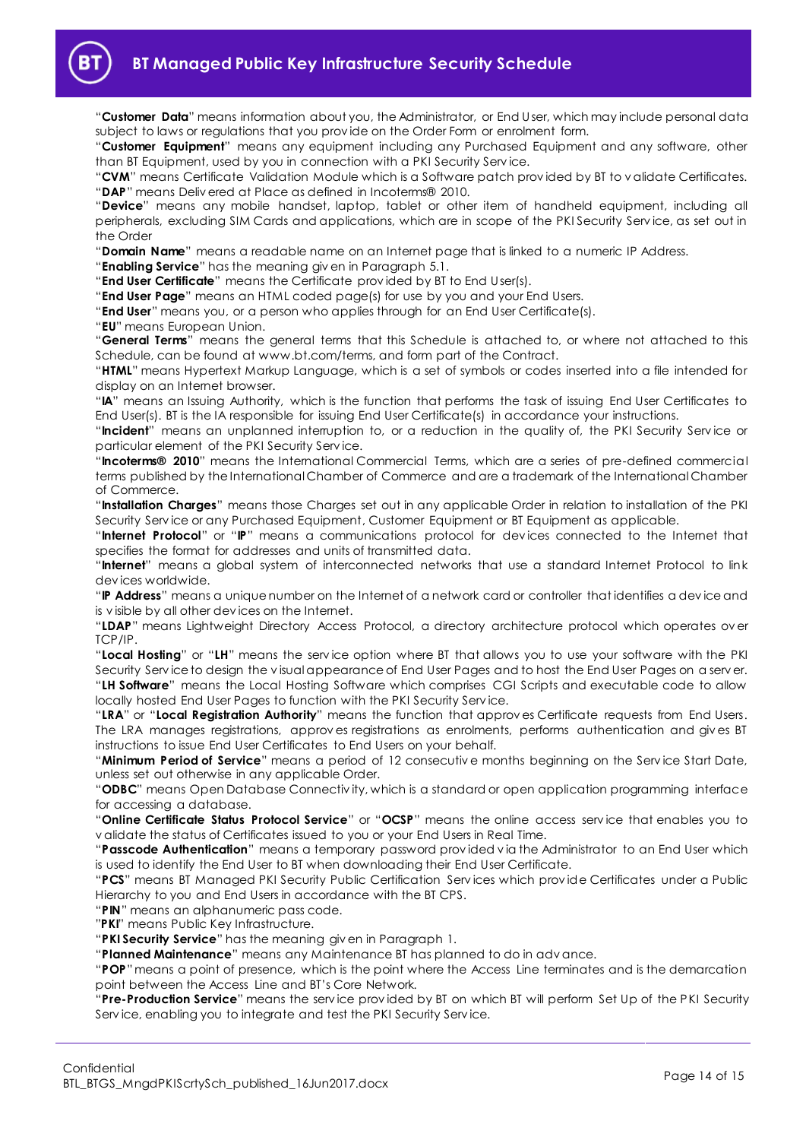"**Customer Data**" means information about you, the Administrator, or End User, which may include personal data subject to laws or regulations that you prov ide on the Order Form or enrolment form.

"**Customer Equipment**" means any equipment including any Purchased Equipment and any software, other than BT Equipment, used by you in connection with a PKI Security Serv ice.

"**CVM**" means Certificate Validation Module which is a Software patch prov ided by BT to v alidate Certificates. "**DAP**" means Deliv ered at Place as defined in Incoterms® 2010.

"**Device**" means any mobile handset, laptop, tablet or other item of handheld equipment, including all peripherals, excluding SIM Cards and applications, which are in scope of the PKI Security Serv ice, as set out in the Order

"**Domain Name**" means a readable name on an Internet page that is linked to a numeric IP Address.

"**Enabling Service**" has the meaning giv en in Paragraph [5.1.](#page-3-5)

"**End User Certificate**" means the Certificate prov ided by BT to End User(s).

"**End User Page**" means an HTML coded page(s) for use by you and your End Users.

"**End User**" means you, or a person who applies through for an End User Certificate(s).

"**EU**" means European Union.

"**General Terms**" means the general terms that this Schedule is attached to, or where not attached to this Schedule, can be found at www.bt.com/terms, and form part of the Contract.

"**HTML**" means Hypertext Markup Language, which is a set of symbols or codes inserted into a file intended for display on an Internet browser.

"**IA**" means an Issuing Authority, which is the function that performs the task of issuing End User Certificates to End User(s). BT is the IA responsible for issuing End User Certificate(s) in accordance your instructions.

"**Incident**" means an unplanned interruption to, or a reduction in the quality of, the PKI Security Serv ice or particular element of the PKI Security Serv ice.

"**Incoterms® 2010**" means the International Commercial Terms, which are a series of pre-defined commercial terms published by the International Chamber of Commerce and are a trademark of the International Chamber of Commerce.

"**Installation Charges**" means those Charges set out in any applicable Order in relation to installation of the PKI Security Serv ice or any Purchased Equipment, Customer Equipment or BT Equipment as applicable.

"**Internet Protocol**" or "**IP**" means a communications protocol for dev ices connected to the Internet that specifies the format for addresses and units of transmitted data.

"**Internet**" means a global system of interconnected networks that use a standard Internet Protocol to link dev ices worldwide.

"**IP Address**" means a unique number on the Internet of a network card or controller that identifies a dev ice and is v isible by all other dev ices on the Internet.

"**LDAP**" means Lightweight Directory Access Protocol, a directory architecture protocol which operates ov er TCP/IP.

"**Local Hosting**" or "**LH**" means the serv ice option where BT that allows you to use your software with the PKI Security Serv ice to design the v isual appearance of End User Pages and to host the End User Pages on a serv er. "**LH Software**" means the Local Hosting Software which comprises CGI Scripts and executable code to allow locally hosted End User Pages to function with the PKI Security Serv ice.

"**LRA**" or "**Local Registration Authority**" means the function that approv es Certificate requests from End Users. The LRA manages registrations, approv es registrations as enrolments, performs authentication and giv es BT instructions to issue End User Certificates to End Users on your behalf.

"**Minimum Period of Service**" means a period of 12 consecutiv e months beginning on the Serv ice Start Date, unless set out otherwise in any applicable Order.

"**ODBC**" means Open Database Connectiv ity, which is a standard or open application programming interface for accessing a database.

"**Online Certificate Status Protocol Service**" or "**OCSP**" means the online access serv ice that enables you to v alidate the status of Certificates issued to you or your End Users in Real Time.

"**Passcode Authentication**" means a temporary password prov ided v ia the Administrator to an End User which is used to identify the End User to BT when downloading their End User Certificate.

"**PCS**" means BT Managed PKI Security Public Certification Serv ices which prov ide Certificates under a Public Hierarchy to you and End Users in accordance with the BT CPS.

"**PIN**" means an alphanumeric pass code.

"**PKI**" means Public Key Infrastructure.

"**PKI Security Service**" has the meaning giv en in Paragraph [1.](#page-1-3)

"**Planned Maintenance**" means any Maintenance BT has planned to do in adv ance.

"**POP**" means a point of presence, which is the point where the Access Line terminates and is the demarcation point between the Access Line and BT's Core Network.

"**Pre-Production Service**" means the serv ice prov ided by BT on which BT will perform Set Up of the PKI Security Serv ice, enabling you to integrate and test the PKI Security Serv ice.